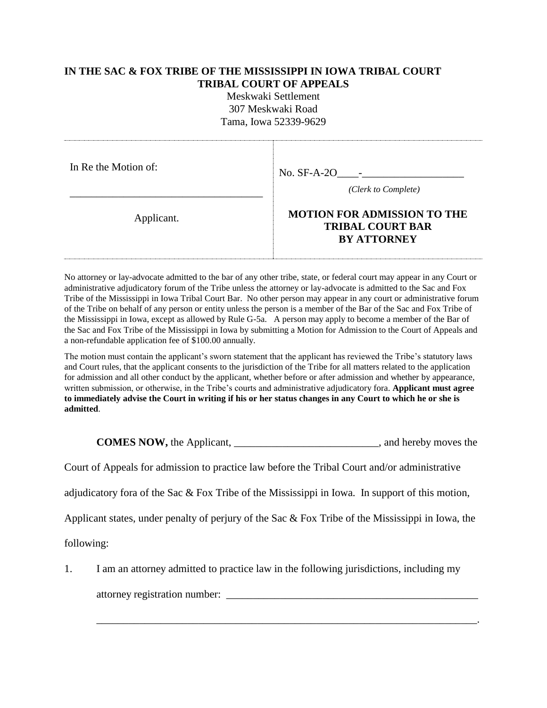## **IN THE SAC & FOX TRIBE OF THE MISSISSIPPI IN IOWA TRIBAL COURT TRIBAL COURT OF APPEALS**

Meskwaki Settlement 307 Meskwaki Road Tama, Iowa 52339-9629

| In Re the Motion of: | No. $SF-A-2O$<br>$\sim 100$ km s $^{-1}$<br>(Clerk to Complete)                     |  |
|----------------------|-------------------------------------------------------------------------------------|--|
| Applicant.           | <b>MOTION FOR ADMISSION TO THE</b><br><b>TRIBAL COURT BAR</b><br><b>BY ATTORNEY</b> |  |

No attorney or lay-advocate admitted to the bar of any other tribe, state, or federal court may appear in any Court or administrative adjudicatory forum of the Tribe unless the attorney or lay-advocate is admitted to the Sac and Fox Tribe of the Mississippi in Iowa Tribal Court Bar. No other person may appear in any court or administrative forum of the Tribe on behalf of any person or entity unless the person is a member of the Bar of the Sac and Fox Tribe of the Mississippi in Iowa, except as allowed by Rule G-5a. A person may apply to become a member of the Bar of the Sac and Fox Tribe of the Mississippi in Iowa by submitting a Motion for Admission to the Court of Appeals and a non-refundable application fee of \$100.00 annually.

The motion must contain the applicant's sworn statement that the applicant has reviewed the Tribe's statutory laws and Court rules, that the applicant consents to the jurisdiction of the Tribe for all matters related to the application for admission and all other conduct by the applicant, whether before or after admission and whether by appearance, written submission, or otherwise, in the Tribe's courts and administrative adjudicatory fora. **Applicant must agree to immediately advise the Court in writing if his or her status changes in any Court to which he or she is admitted**.

**COMES NOW,** the Applicant, \_\_\_\_\_\_\_\_\_\_\_\_\_\_\_\_\_\_\_\_\_\_\_\_\_\_\_, and hereby moves the

Court of Appeals for admission to practice law before the Tribal Court and/or administrative

adjudicatory fora of the Sac & Fox Tribe of the Mississippi in Iowa. In support of this motion,

Applicant states, under penalty of perjury of the Sac & Fox Tribe of the Mississippi in Iowa, the

following:

1. I am an attorney admitted to practice law in the following jurisdictions, including my

\_\_\_\_\_\_\_\_\_\_\_\_\_\_\_\_\_\_\_\_\_\_\_\_\_\_\_\_\_\_\_\_\_\_\_\_\_\_\_\_\_\_\_\_\_\_\_\_\_\_\_\_\_\_\_\_\_\_\_\_\_\_\_\_\_\_\_\_\_\_\_.

attorney registration number: